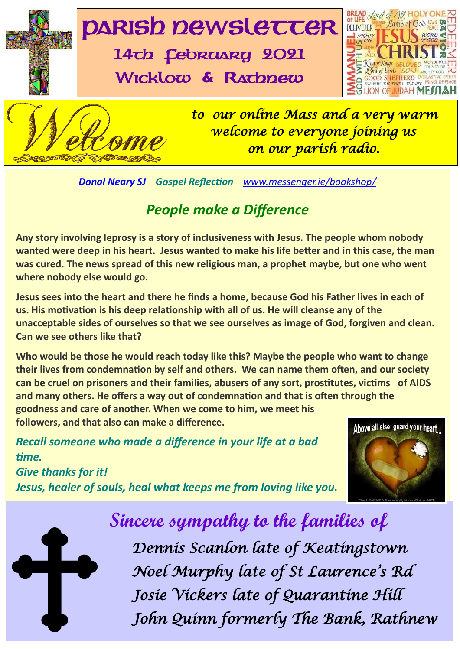

*Donal Neary SJ Gospel Reflection [www.messenger.ie/bookshop/](http://www.messenger.ie/bookshop/)* 

### *People make a Difference*

**Any story involving leprosy is a story of inclusiveness with Jesus. The people whom nobody wanted were deep in his heart. Jesus wanted to make his life better and in this case, the man was cured. The news spread of this new religious man, a prophet maybe, but one who went where nobody else would go.**

 **us. His motivation is his deep relationship with all of us. He will cleanse any of the Jesus sees into the heart and there he finds a home, because God his Father lives in each of unacceptable sides of ourselves so that we see ourselves as image of God, forgiven and clean. Can we see others like that?**

**Who would be those he would reach today like this? Maybe the people who want to change their lives from condemnation by self and others. We can name them often, and our society can be cruel on prisoners and their families, abusers of any sort, prostitutes, victims of AIDS and many others. He offers a way out of condemnation and that is often through the goodness and care of another. When we come to him, we meet his** 

**followers, and that also can make a difference.**

*Recall someone who made a difference in your life at a bad time.*

*Give thanks for it! Jesus, healer of souls, heal what keeps me from loving like you.* 





 **Sincere sympathy to the families of** 

|<br>|-*Dennis Scanlon late of Keatingstown Noel Murphy late of St Laurence's Rd Josie Vickers late of Quarantine Hill John Quinn formerly The Bank, Rathnew*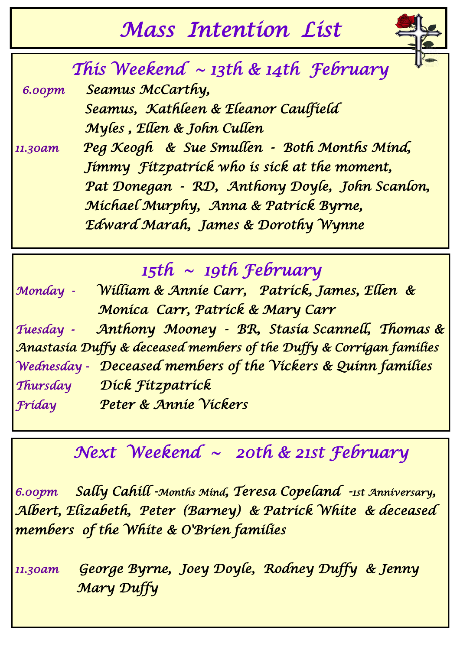# *Mass Intention List*



 *This Weekend ~ 13th & 14th February*

 *6.00pm Seamus McCarthy,* 

 *Seamus, Kathleen & Eleanor Caulfield Myles , Ellen & John Cullen* 

*11.30am Peg Keogh & Sue Smullen - Both Months Mind, Jimmy Fitzpatrick who is sick at the moment, Pat Donegan - RD, Anthony Doyle, John Scanlon, Michael Murphy, Anna & Patrick Byrne, Edward Marah, James & Dorothy Wynne* 

*15th ~ 19th February* 

*Monday - William & Annie Carr, Patrick, James, Ellen & Monica Carr, Patrick & Mary Carr Tuesday - Anthony Mooney - BR, Stasia Scannell, Thomas & Anastasia Duffy & deceased members of the Duffy & Corrigan families Wednesday - Deceased members of the Vickers & Quinn families Thursday Dick Fitzpatrick Friday Peter & Annie Vickers* 

## *Next Weekend ~ 20th & 21st February*

*6.00pm Sally Cahill -Months Mind, Teresa Copeland -1st Anniversary, Albert, Elizabeth, Peter (Barney) & Patrick White & deceased members of the White & O'Brien families* 

*11.30am George Byrne, Joey Doyle, Rodney Duffy & Jenny Mary Duffy*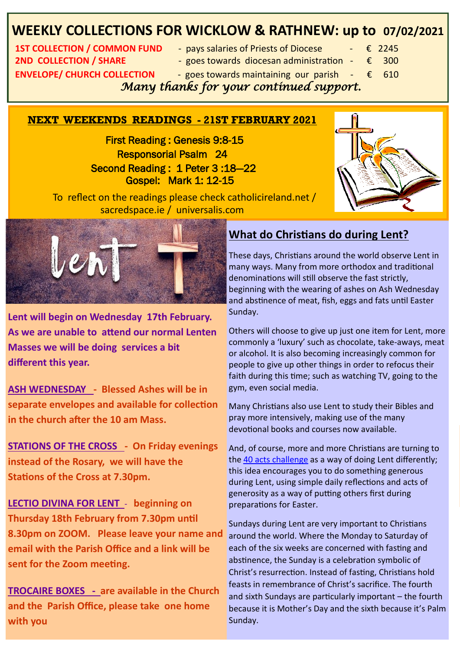### **WEEKLY COLLECTIONS FOR WICKLOW & RATHNEW: up to 07/02/2021**

**1ST COLLECTION / COMMON FUND • pays salaries of Priests of Diocese + € 2245 2ND COLLECTION / SHARE**  $\qquad \qquad -$  goes towards diocesan administration  $\qquad \in$  300 **ENVELOPE/ CHURCH COLLECTION** - goes towards maintaining our parish  $-\epsilon$  610

- 
- 
- 

 *Many thanks for your continued support.* 

#### **NEXT WEEKENDS READINGS - 21ST FEBRUARY 2021**

 First Reading : Genesis 9:8-15 Responsorial Psalm 24 Second Reading : 1 Peter 3 :18—22 Gospel: Mark 1: 12-15



 To reflect on the readings please check catholicireland.net / sacredspace.ie / universalis.com



**Lent will begin on Wednesday 17th February. As we are unable to attend our normal Lenten Masses we will be doing services a bit different this year.**

**ASH WEDNESDAY - Blessed Ashes will be in separate envelopes and available for collection in the church after the 10 am Mass.** 

**STATIONS OF THE CROSS - On Friday evenings instead of the Rosary, we will have the Stations of the Cross at 7.30pm.** 

**LECTIO DIVINA FOR LENT** - **beginning on Thursday 18th February from 7.30pm until 8.30pm on ZOOM. Please leave your name and email with the Parish Office and a link will be sent for the Zoom meeting.** 

**PROCAIRE BOXES -** are available in the Church and sixth Sundays are particularly important – the **and the Parish Office, please take one home with you** 

### **What do Christians do during Lent?**

These days, Christians around the world observe Lent in many ways. Many from more orthodox and traditional denominations will still observe the fast strictly, beginning with the wearing of ashes on Ash Wednesday and abstinence of meat, fish, eggs and fats until Easter Sunday.

Others will choose to give up just one item for Lent, more commonly a 'luxury' such as chocolate, take-aways, meat or alcohol. It is also becoming increasingly common for people to give up other things in order to refocus their faith during this time; such as watching TV, going to the gym, even social media.

Many Christians also use Lent to study their Bibles and pray more intensively, making use of the many devotional books and courses now available.

And, of course, more and more Christians are turning to the [40 acts challenge](http://40acts.org.uk/) as a way of doing Lent differently; this idea encourages you to do something generous during Lent, using simple daily reflections and acts of generosity as a way of putting others first during preparations for Easter.

because it is Mother's Day and the sixth because it's Palm ith the Parish Office and a link will be each of the six weeks are concerned with fasting and **EXTERN IN OUR PROPERTIES.**<br>
Christ's resurrection. Instead of fasting, Christians hold *Fr* Donal collecting her winnings. **Support of the State of the State of the State of the State of the State of the State of the State of the State of the State of the State of the State of the State of the State of the S** Sundays during Lent are very important to Christians around the world. Where the Monday to Saturday of abstinence, the Sunday is a celebration symbolic of feasts in remembrance of Christ's sacrifice. The fourth and sixth Sundays are particularly important – the fourth Sunday.